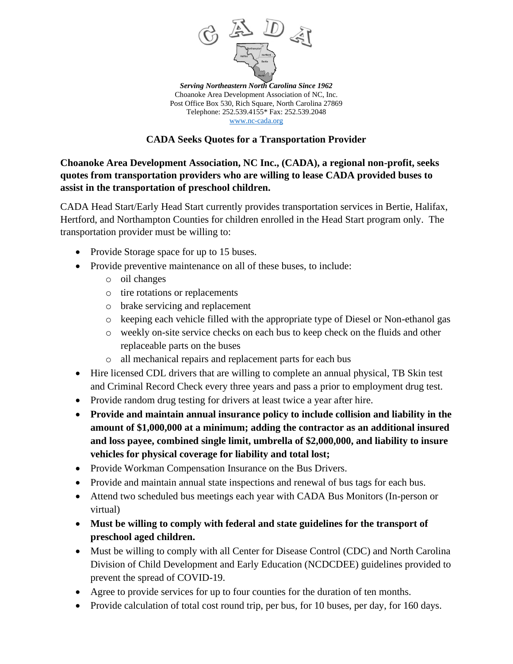

*Serving Northeastern North Carolina Since 1962* Choanoke Area Development Association of NC, Inc. Post Office Box 530, Rich Square, North Carolina 27869 Telephone: 252.539.4155\* Fax: 252.539.2048 [www.nc-cada.org](http://www.nc-cada.org/)

## **CADA Seeks Quotes for a Transportation Provider**

**Choanoke Area Development Association, NC Inc., (CADA), a regional non-profit, seeks quotes from transportation providers who are willing to lease CADA provided buses to assist in the transportation of preschool children.**

CADA Head Start/Early Head Start currently provides transportation services in Bertie, Halifax, Hertford, and Northampton Counties for children enrolled in the Head Start program only. The transportation provider must be willing to:

- Provide Storage space for up to 15 buses.
- Provide preventive maintenance on all of these buses, to include:
	- o oil changes
	- o tire rotations or replacements
	- o brake servicing and replacement
	- o keeping each vehicle filled with the appropriate type of Diesel or Non-ethanol gas
	- o weekly on-site service checks on each bus to keep check on the fluids and other replaceable parts on the buses
	- o all mechanical repairs and replacement parts for each bus
- Hire licensed CDL drivers that are willing to complete an annual physical, TB Skin test and Criminal Record Check every three years and pass a prior to employment drug test.
- Provide random drug testing for drivers at least twice a year after hire.
- **Provide and maintain annual insurance policy to include collision and liability in the amount of \$1,000,000 at a minimum; adding the contractor as an additional insured and loss payee, combined single limit, umbrella of \$2,000,000, and liability to insure vehicles for physical coverage for liability and total lost;**
- Provide Workman Compensation Insurance on the Bus Drivers.
- Provide and maintain annual state inspections and renewal of bus tags for each bus.
- Attend two scheduled bus meetings each year with CADA Bus Monitors (In-person or virtual)
- **Must be willing to comply with federal and state guidelines for the transport of preschool aged children.**
- Must be willing to comply with all Center for Disease Control (CDC) and North Carolina Division of Child Development and Early Education (NCDCDEE) guidelines provided to prevent the spread of COVID-19.
- Agree to provide services for up to four counties for the duration of ten months.
- Provide calculation of total cost round trip, per bus, for 10 buses, per day, for 160 days.